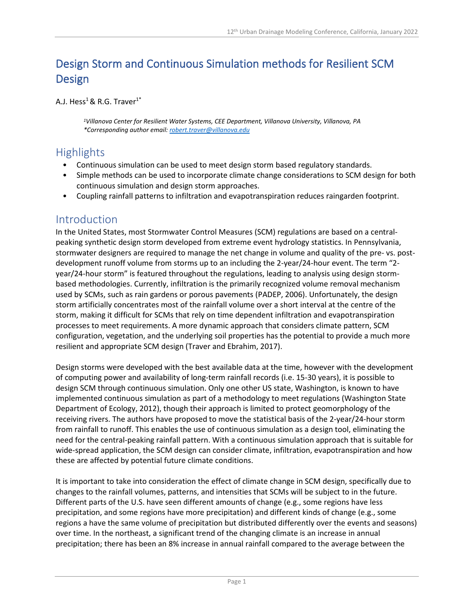# Design Storm and Continuous Simulation methods for Resilient SCM Design

A.J. Hess<sup>1</sup> & R.G. Traver<sup>1\*</sup>

*1Villanova Center for Resilient Water Systems, CEE Department, Villanova University, Villanova, PA \*Corresponding author email: [robert.traver@villanova.edu](mailto:robert.traver@villanova.edu)*

# Highlights

- Continuous simulation can be used to meet design storm based regulatory standards.
- Simple methods can be used to incorporate climate change considerations to SCM design for both continuous simulation and design storm approaches.
- Coupling rainfall patterns to infiltration and evapotranspiration reduces raingarden footprint.

### Introduction

In the United States, most Stormwater Control Measures (SCM) regulations are based on a centralpeaking synthetic design storm developed from extreme event hydrology statistics. In Pennsylvania, stormwater designers are required to manage the net change in volume and quality of the pre- vs. postdevelopment runoff volume from storms up to an including the 2-year/24-hour event. The term "2 year/24-hour storm" is featured throughout the regulations, leading to analysis using design stormbased methodologies. Currently, infiltration is the primarily recognized volume removal mechanism used by SCMs, such as rain gardens or porous pavements (PADEP, 2006). Unfortunately, the design storm artificially concentrates most of the rainfall volume over a short interval at the centre of the storm, making it difficult for SCMs that rely on time dependent infiltration and evapotranspiration processes to meet requirements. A more dynamic approach that considers climate pattern, SCM configuration, vegetation, and the underlying soil properties has the potential to provide a much more resilient and appropriate SCM design (Traver and Ebrahim, 2017).

Design storms were developed with the best available data at the time, however with the development of computing power and availability of long-term rainfall records (i.e. 15-30 years), it is possible to design SCM through continuous simulation. Only one other US state, Washington, is known to have implemented continuous simulation as part of a methodology to meet regulations (Washington State Department of Ecology, 2012), though their approach is limited to protect geomorphology of the receiving rivers. The authors have proposed to move the statistical basis of the 2-year/24-hour storm from rainfall to runoff. This enables the use of continuous simulation as a design tool, eliminating the need for the central-peaking rainfall pattern. With a continuous simulation approach that is suitable for wide-spread application, the SCM design can consider climate, infiltration, evapotranspiration and how these are affected by potential future climate conditions.

It is important to take into consideration the effect of climate change in SCM design, specifically due to changes to the rainfall volumes, patterns, and intensities that SCMs will be subject to in the future. Different parts of the U.S. have seen different amounts of change (e.g., some regions have less precipitation, and some regions have more precipitation) and different kinds of change (e.g., some regions a have the same volume of precipitation but distributed differently over the events and seasons) over time. In the northeast, a significant trend of the changing climate is an increase in annual precipitation; there has been an 8% increase in annual rainfall compared to the average between the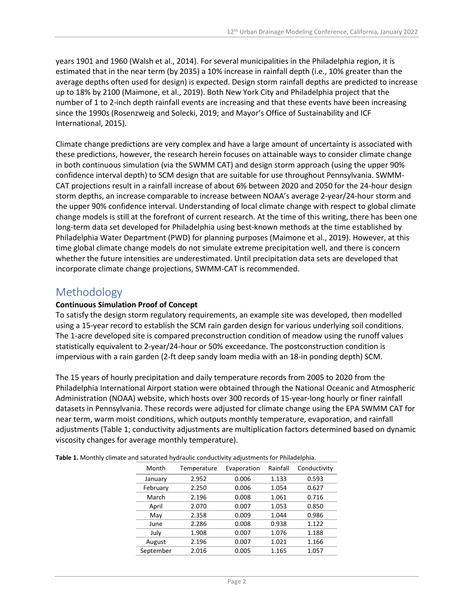years 1901 and 1960 (Walsh et al., 2014). For several municipalities in the Philadelphia region, it is estimated that in the near term (by 2035) a 10% increase in rainfall depth (i.e., 10% greater than the average depths often used for design) is expected. Design storm rainfall depths are predicted to increase up to 18% by 2100 (Maimone, et al., 2019). Both New York City and Philadelphia project that the number of 1 to 2-inch depth rainfall events are increasing and that these events have been increasing since the 1990s (Rosenzweig and Solecki, 2019; and Mayor's Office of Sustainability and ICF International, 2015).

Climate change predictions are very complex and have a large amount of uncertainty is associated with these predictions, however, the research herein focuses on attainable ways to consider climate change in both continuous simulation (via the SWMM CAT) and design storm approach (using the upper 90% confidence interval depth) to SCM design that are suitable for use throughout Pennsylvania. SWMM-CAT projections result in a rainfall increase of about 6% between 2020 and 2050 for the 24-hour design storm depths, an increase comparable to increase between NOAA's average 2-year/24-hour storm and the upper 90% confidence interval. Understanding of local climate change with respect to global climate change models is still at the forefront of current research. At the time of this writing, there has been one long-term data set developed for Philadelphia using best-known methods at the time established by Philadelphia Water Department (PWD) for planning purposes (Maimone et al., 2019). However, at this time global climate change models do not simulate extreme precipitation well, and there is concern whether the future intensities are underestimated. Until precipitation data sets are developed that incorporate climate change projections, SWMM-CAT is recommended.

# Methodology

#### **Continuous Simulation Proof of Concept**

To satisfy the design storm regulatory requirements, an example site was developed, then modelled using a 15-year record to establish the SCM rain garden design for various underlying soil conditions. The 1-acre developed site is compared preconstruction condition of meadow using the runoff values statistically equivalent to 2-year/24-hour or 50% exceedance. The postconstruction condition is impervious with a rain garden (2-ft deep sandy loam media with an 18-in ponding depth) SCM.

The 15 years of hourly precipitation and daily temperature records from 2005 to 2020 from the Philadelphia International Airport station were obtained through the National Oceanic and Atmospheric Administration (NOAA) website, which hosts over 300 records of 15-year-long hourly or finer rainfall datasets in Pennsylvania. These records were adjusted for climate change using the EPA SWMM CAT for near term, warm moist conditions, which outputs monthly temperature, evaporation, and rainfall adjustments (Table 1; conductivity adjustments are multiplication factors determined based on dynamic viscosity changes for average monthly temperature).

| Month     | Temperature | Evaporation | Rainfall | Conductivity |  |  |  |
|-----------|-------------|-------------|----------|--------------|--|--|--|
| January   | 2.952       | 0.006       | 1.133    | 0.593        |  |  |  |
| February  | 2.250       | 0.006       | 1.054    | 0.627        |  |  |  |
| March     | 2.196       | 0.008       | 1.061    | 0.716        |  |  |  |
| April     | 2.070       | 0.007       | 1.053    | 0.850        |  |  |  |
| May       | 2.358       | 0.009       | 1.044    | 0.986        |  |  |  |
| June      | 2.286       | 0.008       | 0.938    | 1.122        |  |  |  |
| July      | 1.908       | 0.007       | 1.076    | 1.188        |  |  |  |
| August    | 2.196       | 0.007       | 1.021    | 1.166        |  |  |  |
| September | 2.016       | 0.005       | 1.165    | 1.057        |  |  |  |

**Table 1.** Monthly climate and saturated hydraulic conductivity adjustments for Philadelphia.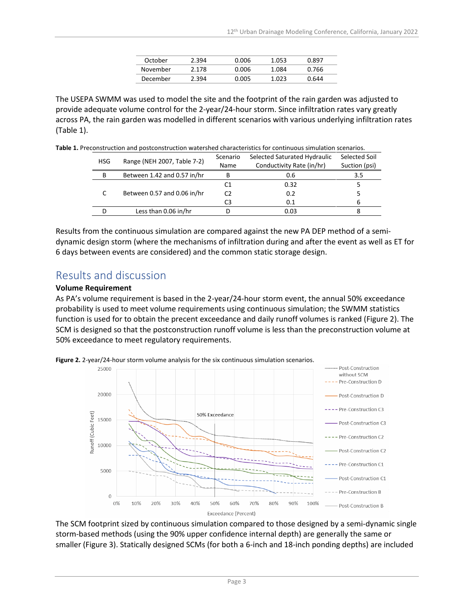| October  | 2.394 | 0.006 | 1.053 | በ.ጸዓ7 |
|----------|-------|-------|-------|-------|
| November | 2.178 | 0.006 | 1.084 | 0.766 |
| December | 2.394 | 0.005 | 1.023 | 0.644 |

The USEPA SWMM was used to model the site and the footprint of the rain garden was adjusted to provide adequate volume control for the 2-year/24-hour storm. Since infiltration rates vary greatly across PA, the rain garden was modelled in different scenarios with various underlying infiltration rates (Table 1).

**Table 1.** Preconstruction and postconstruction watershed characteristics for continuous simulation scenarios.

| <b>HSG</b> | Range (NEH 2007, Table 7-2) | Scenario<br>Name | Selected Saturated Hydraulic<br>Conductivity Rate (in/hr) | Selected Soil<br>Suction (psi) |
|------------|-----------------------------|------------------|-----------------------------------------------------------|--------------------------------|
| B          | Between 1.42 and 0.57 in/hr | В                | 0.6                                                       | 3.5                            |
|            | Between 0.57 and 0.06 in/hr | C1               | 0.32                                                      |                                |
|            |                             | C2               | 0.2                                                       |                                |
|            |                             | C3               | 0.1                                                       |                                |
|            | Less than 0.06 in/hr        |                  | 0.03                                                      |                                |

Results from the continuous simulation are compared against the new PA DEP method of a semidynamic design storm (where the mechanisms of infiltration during and after the event as well as ET for 6 days between events are considered) and the common static storage design.

# Results and discussion

#### **Volume Requirement**

As PA's volume requirement is based in the 2-year/24-hour storm event, the annual 50% exceedance probability is used to meet volume requirements using continuous simulation; the SWMM statistics function is used for to obtain the precent exceedance and daily runoff volumes is ranked (Figure 2). The SCM is designed so that the postconstruction runoff volume is less than the preconstruction volume at 50% exceedance to meet regulatory requirements.

**Figure 2.** 2-year/24-hour storm volume analysis for the six continuous simulation scenarios.



The SCM footprint sized by continuous simulation compared to those designed by a semi-dynamic single storm-based methods (using the 90% upper confidence internal depth) are generally the same or smaller (Figure 3). Statically designed SCMs (for both a 6-inch and 18-inch ponding depths) are included